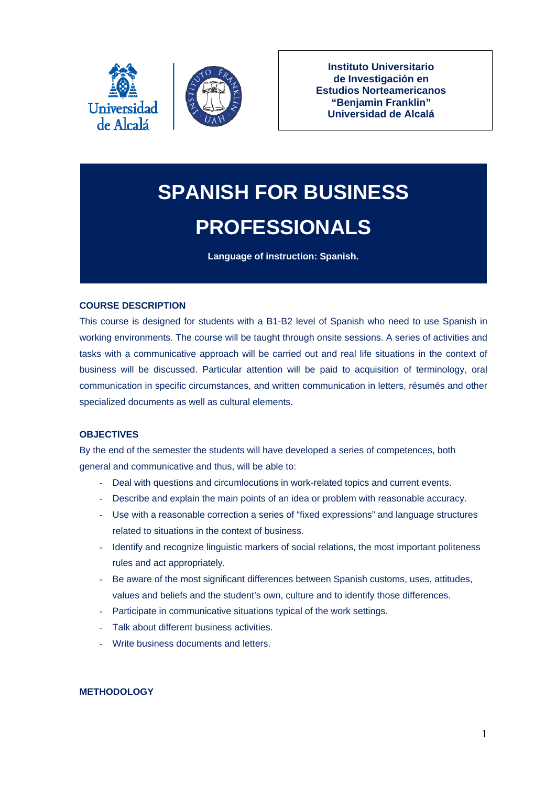



**Instituto Universitario de Investigación en Estudios Norteamericanos "Benjamin Franklin" Universidad de Alcalá**

# **SPANISH FOR BUSINESS PROFESSIONALS**

**Language of instruction: Spanish.** 

## **COURSE DESCRIPTION**

This course is designed for students with a B1-B2 level of Spanish who need to use Spanish in working environments. The course will be taught through onsite sessions. A series of activities and tasks with a communicative approach will be carried out and real life situations in the context of business will be discussed. Particular attention will be paid to acquisition of terminology, oral communication in specific circumstances, and written communication in letters, résumés and other specialized documents as well as cultural elements.

## **OBJECTIVES**

By the end of the semester the students will have developed a series of competences, both general and communicative and thus, will be able to:

- Deal with questions and circumlocutions in work-related topics and current events.
- Describe and explain the main points of an idea or problem with reasonable accuracy.
- Use with a reasonable correction a series of "fixed expressions" and language structures related to situations in the context of business.
- Identify and recognize linguistic markers of social relations, the most important politeness rules and act appropriately.
- Be aware of the most significant differences between Spanish customs, uses, attitudes, values and beliefs and the student's own, culture and to identify those differences.
- Participate in communicative situations typical of the work settings.
- Talk about different business activities.
- Write business documents and letters.

## **METHODOLOGY**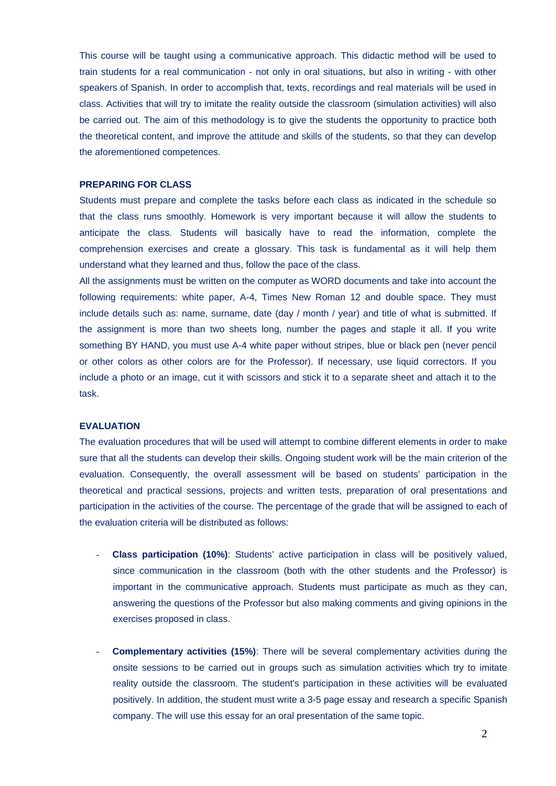This course will be taught using a communicative approach. This didactic method will be used to train students for a real communication - not only in oral situations, but also in writing - with other speakers of Spanish. In order to accomplish that, texts, recordings and real materials will be used in class. Activities that will try to imitate the reality outside the classroom (simulation activities) will also be carried out. The aim of this methodology is to give the students the opportunity to practice both the theoretical content, and improve the attitude and skills of the students, so that they can develop the aforementioned competences.

#### **PREPARING FOR CLASS**

Students must prepare and complete the tasks before each class as indicated in the schedule so that the class runs smoothly. Homework is very important because it will allow the students to anticipate the class. Students will basically have to read the information, complete the comprehension exercises and create a glossary. This task is fundamental as it will help them understand what they learned and thus, follow the pace of the class.

All the assignments must be written on the computer as WORD documents and take into account the following requirements: white paper, A-4, Times New Roman 12 and double space. They must include details such as: name, surname, date (day / month / year) and title of what is submitted. If the assignment is more than two sheets long, number the pages and staple it all. If you write something BY HAND, you must use A-4 white paper without stripes, blue or black pen (never pencil or other colors as other colors are for the Professor). If necessary, use liquid correctors. If you include a photo or an image, cut it with scissors and stick it to a separate sheet and attach it to the task.

#### **EVALUATION**

The evaluation procedures that will be used will attempt to combine different elements in order to make sure that all the students can develop their skills. Ongoing student work will be the main criterion of the evaluation. Consequently, the overall assessment will be based on students' participation in the theoretical and practical sessions, projects and written tests, preparation of oral presentations and participation in the activities of the course. The percentage of the grade that will be assigned to each of the evaluation criteria will be distributed as follows:

- **Class participation (10%)**: Students' active participation in class will be positively valued, since communication in the classroom (both with the other students and the Professor) is important in the communicative approach. Students must participate as much as they can, answering the questions of the Professor but also making comments and giving opinions in the exercises proposed in class.
- **Complementary activities (15%)**: There will be several complementary activities during the onsite sessions to be carried out in groups such as simulation activities which try to imitate reality outside the classroom. The student's participation in these activities will be evaluated positively. In addition, the student must write a 3-5 page essay and research a specific Spanish company. The will use this essay for an oral presentation of the same topic.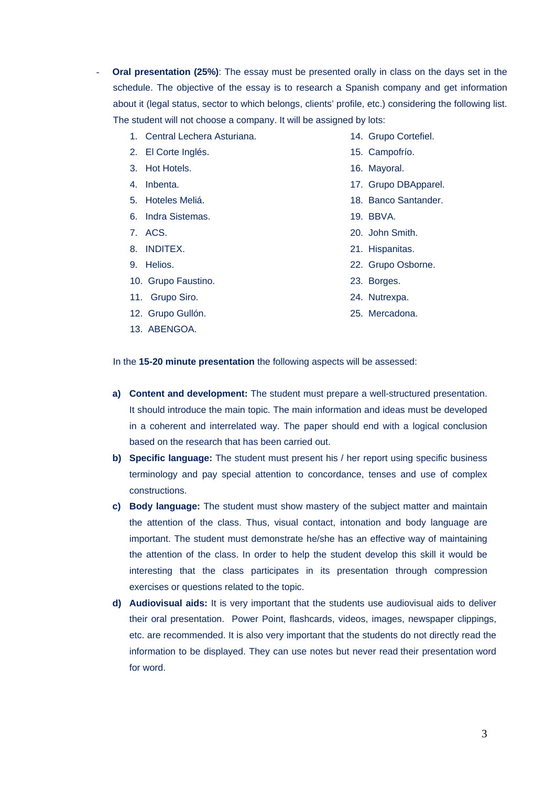- Oral presentation (25%): The essay must be presented orally in class on the days set in the schedule. The objective of the essay is to research a Spanish company and get information about it (legal status, sector to which belongs, clients' profile, etc.) considering the following list. The student will not choose a company. It will be assigned by lots:
	- 1. Central Lechera Asturiana.
	- 2. El Corte Inglés.
	- 3. Hot Hotels.
	- 4. Inbenta.
	- 5. Hoteles Meliá.
	- 6. Indra Sistemas.
	- 7. ACS.
	- 8. INDITEX.
	- 9. Helios.
	- 10. Grupo Faustino.
	- 11. Grupo Siro.
	- 12. Grupo Gullón.
	- 13. ABENGOA.
- 14. Grupo Cortefiel.
- 15. Campofrío.
- 16. Mayoral.
- 17. Grupo DBApparel.
- 18. Banco Santander.
- 19. BBVA.
- 20. John Smith.
- 21. Hispanitas.
- 22. Grupo Osborne.
- 23. Borges.
- 24. Nutrexpa.
- 25. Mercadona.

In the **15-20 minute presentation** the following aspects will be assessed:

- **a) Content and development:** The student must prepare a well-structured presentation. It should introduce the main topic. The main information and ideas must be developed in a coherent and interrelated way. The paper should end with a logical conclusion based on the research that has been carried out.
- **b) Specific language:** The student must present his / her report using specific business terminology and pay special attention to concordance, tenses and use of complex constructions.
- **c) Body language:** The student must show mastery of the subject matter and maintain the attention of the class. Thus, visual contact, intonation and body language are important. The student must demonstrate he/she has an effective way of maintaining the attention of the class. In order to help the student develop this skill it would be interesting that the class participates in its presentation through compression exercises or questions related to the topic.
- **d) Audiovisual aids:** It is very important that the students use audiovisual aids to deliver their oral presentation. Power Point, flashcards, videos, images, newspaper clippings, etc. are recommended. It is also very important that the students do not directly read the information to be displayed. They can use notes but never read their presentation word for word.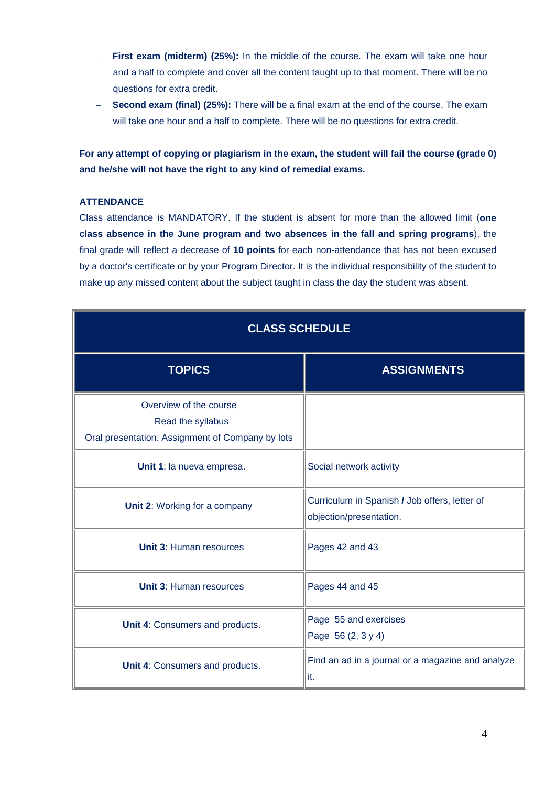- **First exam (midterm) (25%):** In the middle of the course. The exam will take one hour and a half to complete and cover all the content taught up to that moment. There will be no questions for extra credit.
- **Second exam (final) (25%):** There will be a final exam at the end of the course. The exam will take one hour and a half to complete. There will be no questions for extra credit.

**For any attempt of copying or plagiarism in the exam, the student will fail the course (grade 0) and he/she will not have the right to any kind of remedial exams.** 

## **ATTENDANCE**

Class attendance is MANDATORY. If the student is absent for more than the allowed limit (**one class absence in the June program and two absences in the fall and spring programs**), the final grade will reflect a decrease of **10 points** for each non-attendance that has not been excused by a doctor's certificate or by your Program Director. It is the individual responsibility of the student to make up any missed content about the subject taught in class the day the student was absent.

| <b>CLASS SCHEDULE</b>                                                                           |                                                                          |
|-------------------------------------------------------------------------------------------------|--------------------------------------------------------------------------|
| <b>TOPICS</b>                                                                                   | <b>ASSIGNMENTS</b>                                                       |
| Overview of the course<br>Read the syllabus<br>Oral presentation. Assignment of Company by lots |                                                                          |
| Unit 1: la nueva empresa.                                                                       | Social network activity                                                  |
| Unit 2: Working for a company                                                                   | Curriculum in Spanish / Job offers, letter of<br>objection/presentation. |
| <b>Unit 3: Human resources</b>                                                                  | Pages 42 and 43                                                          |
| <b>Unit 3: Human resources</b>                                                                  | Pages 44 and 45                                                          |
| Unit 4: Consumers and products.                                                                 | Page 55 and exercises<br>Page 56 (2, 3 y 4)                              |
| Unit 4: Consumers and products.                                                                 | Find an ad in a journal or a magazine and analyze<br>it.                 |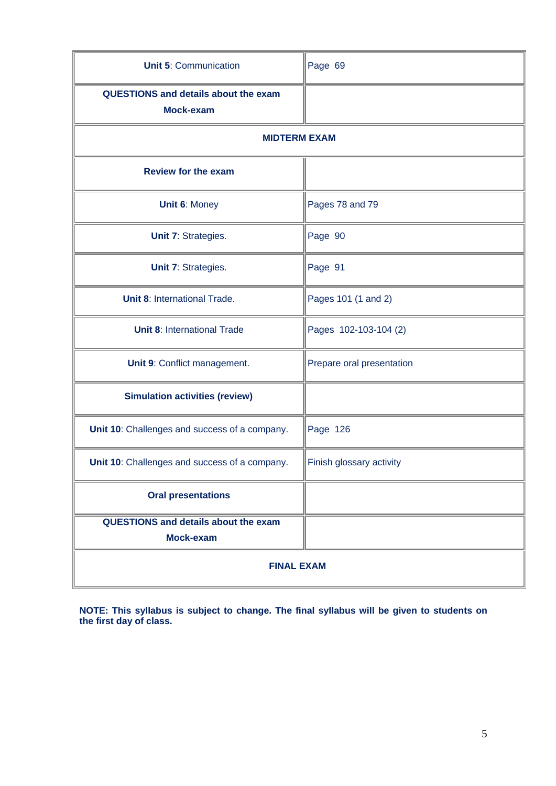| <b>Unit 5: Communication</b>                             | Page 69                   |
|----------------------------------------------------------|---------------------------|
| <b>QUESTIONS and details about the exam</b><br>Mock-exam |                           |
| <b>MIDTERM EXAM</b>                                      |                           |
| <b>Review for the exam</b>                               |                           |
| <b>Unit 6: Money</b>                                     | Pages 78 and 79           |
| Unit 7: Strategies.                                      | Page 90                   |
| Unit 7: Strategies.                                      | Page 91                   |
| <b>Unit 8: International Trade.</b>                      | Pages 101 (1 and 2)       |
| <b>Unit 8: International Trade</b>                       | Pages 102-103-104 (2)     |
| Unit 9: Conflict management.                             | Prepare oral presentation |
| <b>Simulation activities (review)</b>                    |                           |
| Unit 10: Challenges and success of a company.            | Page 126                  |
| Unit 10: Challenges and success of a company.            | Finish glossary activity  |
| <b>Oral presentations</b>                                |                           |
| <b>QUESTIONS and details about the exam</b><br>Mock-exam |                           |
| <b>FINAL EXAM</b>                                        |                           |

**NOTE: This syllabus is subject to change. The final syllabus will be given to students on the first day of class.**